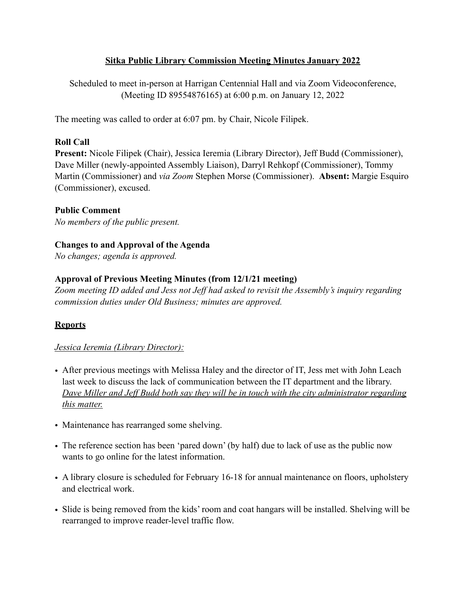#### **Sitka Public Library Commission Meeting Minutes January 2022**

Scheduled to meet in-person at Harrigan Centennial Hall and via Zoom Videoconference, (Meeting ID 89554876165) at 6:00 p.m. on January 12, 2022

The meeting was called to order at 6:07 pm. by Chair, Nicole Filipek.

#### **Roll Call**

**Present:** Nicole Filipek (Chair), Jessica Ieremia (Library Director), Jeff Budd (Commissioner), Dave Miller (newly-appointed Assembly Liaison), Darryl Rehkopf (Commissioner), Tommy Martin (Commissioner) and *via Zoom* Stephen Morse (Commissioner). **Absent:** Margie Esquiro (Commissioner), excused.

#### **Public Comment**

*No members of the public present.* 

#### **Changes to and Approval of the Agenda**

*No changes; agenda is approved.* 

#### **Approval of Previous Meeting Minutes (from 12/1/21 meeting)**

*Zoom meeting ID added and Jess not Jeff had asked to revisit the Assembly's inquiry regarding commission duties under Old Business; minutes are approved.* 

# **Reports**

#### *Jessica Ieremia (Library Director):*

- After previous meetings with Melissa Haley and the director of IT, Jess met with John Leach last week to discuss the lack of communication between the IT department and the library. *Dave Miller and Jeff Budd both say they will be in touch with the city administrator regarding this matter.*
- Maintenance has rearranged some shelving.
- The reference section has been 'pared down' (by half) due to lack of use as the public now wants to go online for the latest information.
- A library closure is scheduled for February 16-18 for annual maintenance on floors, upholstery and electrical work.
- Slide is being removed from the kids' room and coat hangars will be installed. Shelving will be rearranged to improve reader-level traffic flow.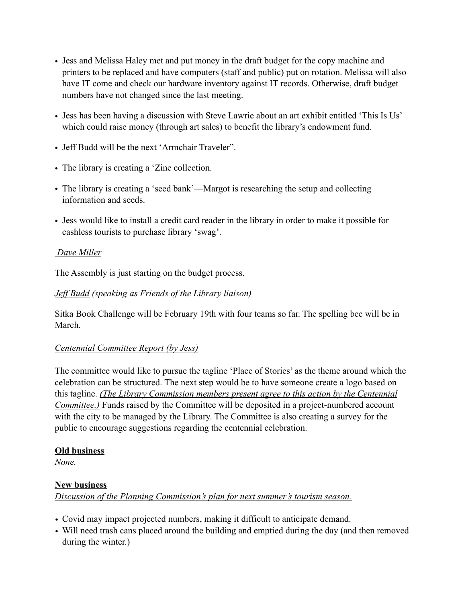- Jess and Melissa Haley met and put money in the draft budget for the copy machine and printers to be replaced and have computers (staff and public) put on rotation. Melissa will also have IT come and check our hardware inventory against IT records. Otherwise, draft budget numbers have not changed since the last meeting.
- Jess has been having a discussion with Steve Lawrie about an art exhibit entitled 'This Is Us' which could raise money (through art sales) to benefit the library's endowment fund.
- Jeff Budd will be the next 'Armchair Traveler".
- The library is creating a 'Zine collection.
- The library is creating a 'seed bank'—Margot is researching the setup and collecting information and seeds.
- Jess would like to install a credit card reader in the library in order to make it possible for cashless tourists to purchase library 'swag'.

# *Dave Miller*

The Assembly is just starting on the budget process.

# *Jeff Budd (speaking as Friends of the Library liaison)*

Sitka Book Challenge will be February 19th with four teams so far. The spelling bee will be in March.

# *Centennial Committee Report (by Jess)*

The committee would like to pursue the tagline 'Place of Stories' as the theme around which the celebration can be structured. The next step would be to have someone create a logo based on this tagline. *(The Library Commission members present agree to this action by the Centennial Committee.)* Funds raised by the Committee will be deposited in a project-numbered account with the city to be managed by the Library. The Committee is also creating a survey for the public to encourage suggestions regarding the centennial celebration.

#### **Old business**

*None.* 

# **New business**

*Discussion of the Planning Commission's plan for next summer's tourism season.* 

- *•* Covid may impact projected numbers, making it difficult to anticipate demand.
- Will need trash cans placed around the building and emptied during the day (and then removed during the winter.)